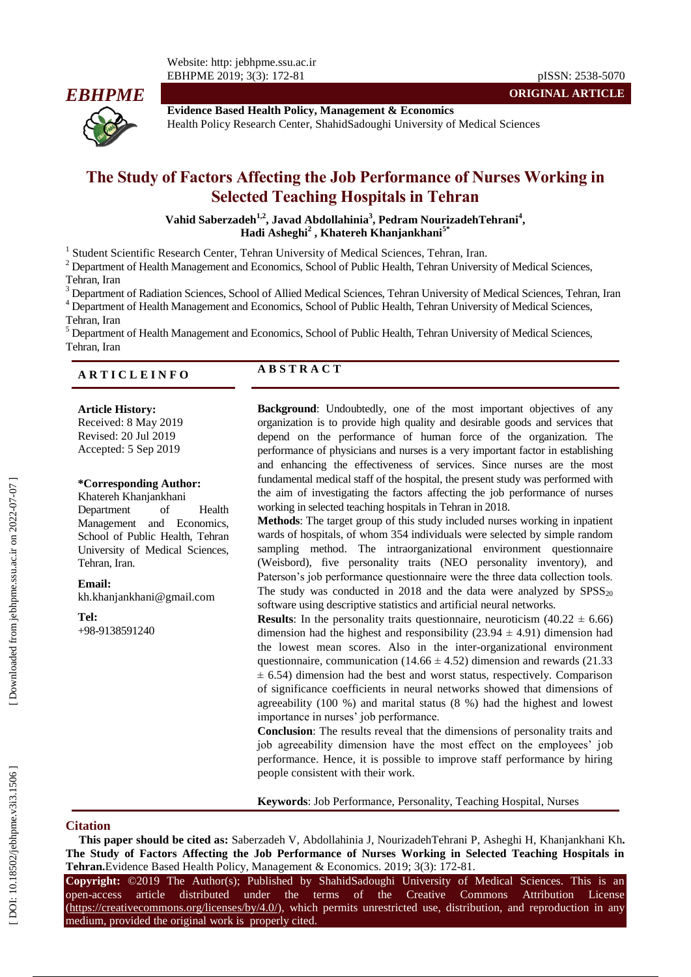

**Evidence Based Health Policy, Management & Economics** Health Policy Research Center, ShahidSadoughi University of Medical Sciences

# **The Study of Factors Affecting the Job Performance of Nurses Working in Selected Teaching Hospitals in Tehran**

**Vahid Saberzadeh 1 , 2 , Javad Abdollahinia 3 , Pedram NourizadehTehrani 4 , Hadi Asheghi 2 , Khatereh Khanjankhani 5 \***

<sup>1</sup> Student Scientific Research Center, Tehran University of Medical Sciences, Tehran, Iran.

 $2$  Department of Health Management and Economics, School of Public Health, Tehran University of Medical Sciences, Tehran, Iran

 $^3$ Department of Radiation Sciences, School of Allied Medical Sciences, Tehran University of Medical Sciences, Tehran, Iran  $^4$  Department of Health Management and Economics, School of Public Health, Tehran University o

Department of Health Management and Economics, School of Public Health, Tehran University of Medical Sciences, Tehran, Iran

# **A R T I C L E I N F O A B S T R A C T**

#### **Article History:**

Received: 8 May 2019 Revised: 20 Jul 2019 Accepted: 5 Sep 2019

#### **\*Corresponding Author:**

Khatereh Khanjankhani Department of Health Management and Economics, School of Public Health, Tehran University of Medical Sciences, Tehran, Iran.

#### **Email:**

[kh.khanjankhani@gmail.com](mailto:kh.khanjankhani@gmail.com)

**Tel:**

+98 -9138591240

**Background**: Undoubtedly, one of the most important objectives of any organization is to provide high quality and desirable goods and services that depend on the performance of human force of the organization. The performance of physicians and nurses is a very important factor in establishing and enhancing the effectiveness of services. Since nurses are the most fundamental medical staff of the hospital, the present study was performed with the aim of investigating the factors affecting the job performance of nurses working in selected teaching hospitals in Tehran in 2018.

**Methods**: The target group of this study included nurses working in inpatient wards of hospitals, of whom 354 individuals were selected by simple random sampling method. The intraorganizational environment questionnaire (Weisbord), five personality traits (NEO personality inventory), and Paterson's job performance questionnaire were the three data collection tools. The study was conducted in 2018 and the data were analyzed by  $SPSS_{20}$ software using descriptive statistics and artificial neural networks.

**Results**: In the personality traits questionnaire, neuroticism  $(40.22 \pm 6.66)$ dimension had the highest and responsibility  $(23.94 \pm 4.91)$  dimension had the lowest mean scores. Also in the inter -organizational environment questionnaire, communication  $(14.66 \pm 4.52)$  dimension and rewards  $(21.33)$  $\pm$  6.54) dimension had the best and worst status, respectively. Comparison of significance coefficients in neural networks showed that dimensions of agreeability (100 %) and marital status (8 %) had the highest and lowest importance in nurses' job performance.

**Conclusion**: The results reveal that the dimensions of personality traits and job agreeability dimension have the most effect on the employees' job performance. Hence, it is possible to improve staff performance by hiring people consistent with their work.

**Keywords**: Job Performance, Personality, Teaching Hospital, Nurses

## **Citation**

**This paper should be cited as :** Saberzadeh V, Abdollahinia J, NourizadehTehrani P, Asheghi H, Khanjankhani Kh**. The Study of Factors Affecting the Job Performance of Nurses Working in Selected Teaching Hospitals in**  Tehran. Evidence Based Health Policy, Management & Economics. 2019; 3(3): 172-81.

**Copyright:** ©2019 The Author(s); Published by ShahidSadoughi University of Medical Sciences. This is an open-access -access article distributed under the terms of the Creative Commons Attribution License (https://creativecommons.org/licenses/by/4.0/), which permits unrestricted use, distribution, and reproduction in any medium, provided the original work is properly cited.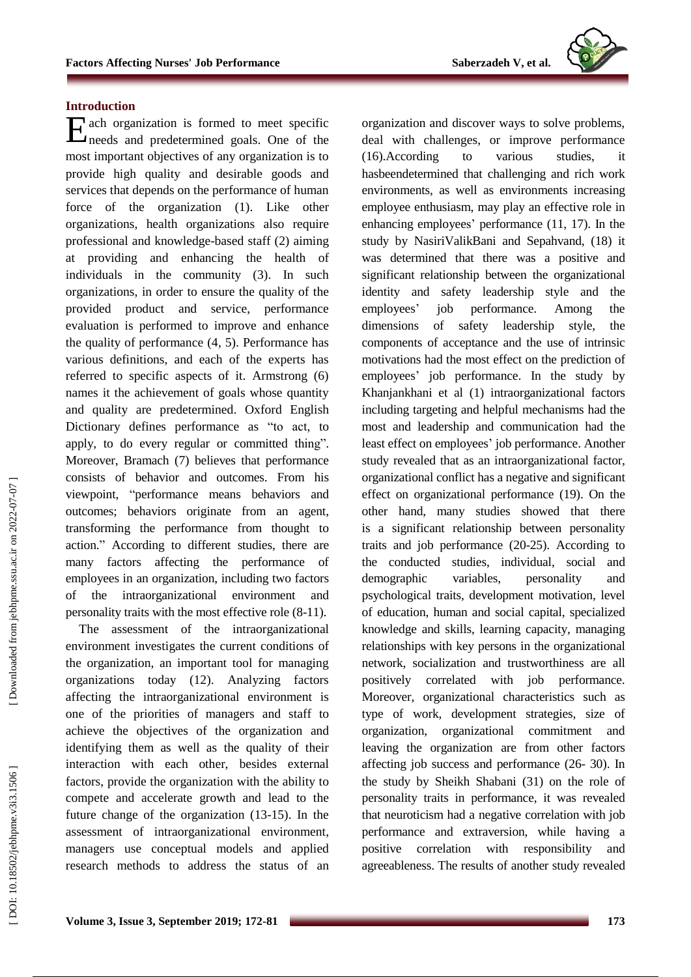## **Introduction**

ach organization is formed to meet specific Each organization is formed to meet specific<br>meeds and predetermined goals. One of the most important objectives of any organization is to provide high quality and desirable goods and services that depends on the performance of human force of the organization (1). Like other organizations, health organizations also require professional and knowledge -based staff (2) aiming at providing and enhancing the health of individuals in the community (3). In such organizations, in order to ensure the quality of the provided product and service, performance evaluation is performed to improve and enhance the quality of performance (4 , 5). Performance has various definitions, and each of the experts has referred to specific aspects of it. Armstrong (6) names it the achievement of goals whose quantity and quality are predetermined. Oxford English Dictionary defines performance as "to act, to apply, to do every regular or committed thing". Moreover, Bramach (7) believes that performance consists of behavior and outcomes. From his viewpoint, "performance means behaviors and outcomes; behaviors originate from an agent , transforming the performance from thought to action. " According to different studies, there are many factors affecting the performance of employees in an organization, including two factors of the intraorganizational environment and personality traits with the most effective role (8-11).

The assessment of the intraorganizational environment investigates the current conditions of the organization, an important tool for managing organizations today (12). Analyzing factors affecting the intraorganizational environment is one of the priorities of managers and staff to achieve the objectives of the organization and identifying them as well as the quality of their interaction with each other, besides external factors, provide the organization with the ability to compete and accelerate growth and lead to the future change of the organization (13-15). In the assessment of intraorganizational environment, managers use conceptual models and applied research methods to address the status of an

organization and discover ways to solve problems, deal with challenges, or improve performance (16).According to various studies, it hasbeendetermined that challenging and rich work environments, as well as environments increasing employee enthusiasm, may play an effective role in enhancing employees' performance (11, 17). In the study by NasiriValikBani and Sepahvand, (18) it was determined that there was a positive and significant relationship between the organizational identity and safety leadership style and the employees ' job performance. Among the dimensions of safety leadership style, the components of acceptance and the use of intrinsic motivations had the most effect on the prediction of employees' job performance. In the study by Khanjankhani et al (1) intraorganizational factors including targeting and helpful mechanisms had the most and leadership and communication had the least effect on employees ' job performance. Another study revealed that as an intraorganizational factor, organizational conflict has a negative and significant effect on organizational performance (19). On the other hand, many studies showed that there is a significant relationship between personality traits and job performance (2 0 -25). According to the conducted studies, individual, social and demographic variables, personality and psychological traits, development motivation, level of education, human and social capital, specialized knowledge and skills, learning capacity, managing relationships with key persons in the organizational network, socialization and trustworthiness are all positively correlated with job performance. Moreover, organizational characteristics such as type of work, development strategies, size of organization, organizational commitment and leaving the organization are from other factors affecting job success and performance (26-30). In the study by Sheikh Shabani (31) o n the role of personality traits in performance, it was revealed that neuroticism had a negative correlation with job performance and extraversion, while having a positive correlation with responsibility and agreeableness. The results of another study revealed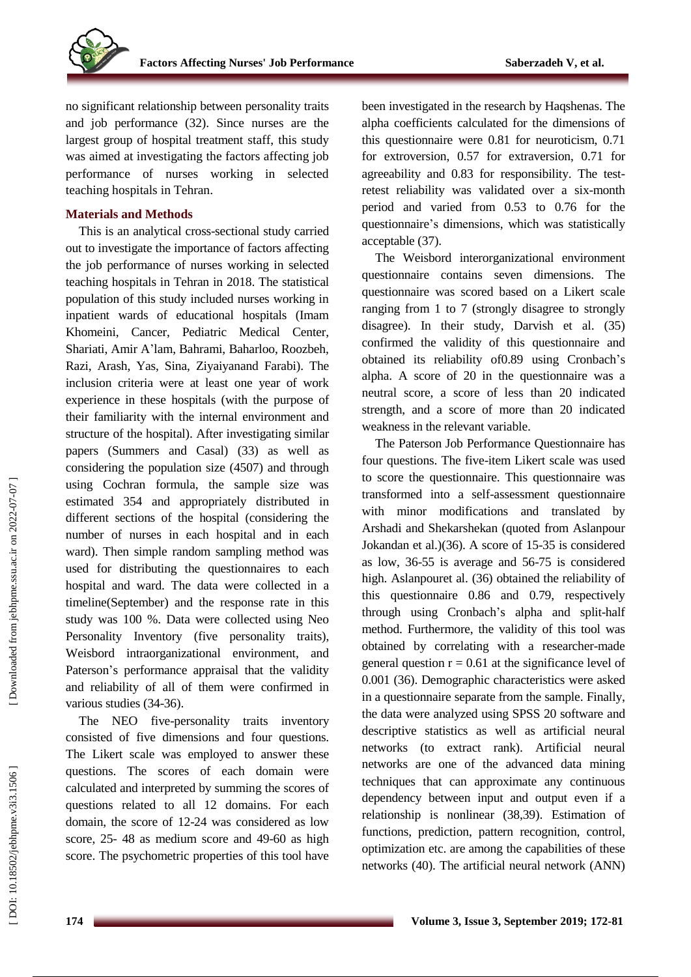

no significant relationship between personality traits and job performance (32). Since nurses are the largest group of hospital treatment staff, this study was aimed at investigating the factors affecting job performance of nurses working in selected teaching hospitals in Tehran.

## **Materials and Method s**

This is an analytical cross -sectional study carried out to investigate the importance of factors affecting the job performance of nurses working in selected teaching hospitals in Tehran in 2018. The statistical population of this study included nurses working in inpatient wards of educational hospitals (Imam Khomeini, Cancer, Pediatric Medical Center, Shariati, Amir A 'lam, Bahrami, Baharloo, Roozbeh, Razi, Arash, Yas, Sina, Ziyaiyanand Farabi). The inclusion criteria were at least one year of work experience in these hospitals (with the purpose of their familiarity with the internal environment and structure of the hospital). After investigating similar papers (Summers and Casal) (33) as well as considering the population size (4507) and through using Cochran formula, the sample size was estimated 354 and appropriately distributed in different sections of the hospital (considering the number of nurses in each hospital and in each ward). Then simple random sampling method was used for distributing the questionnaires to each hospital and ward. The data were collected in a timeline(September) and the response rate in this study was 100 %. Data were collected using Neo Personality Inventory (five personality traits), Weisbord intraorganizational environment, and Paterson 's performance appraisal that the validity and reliability of all of them were confirmed in various studies (34-36).

The NEO five -personality traits inventory consisted of five dimensions and four questions. The Likert scale was employed to answer these questions. The scores of each domain were calculated and interpreted by summing the scores of questions related to all 12 domain s. For each domain, the score of 12 - 2 4 was considered as low score, 25- 48 as medium score and 49-60 as high score. The psychometric properties of this tool have

been investigated in the research by Haqshenas. The alpha coefficients calculated for the dimensions of this questionnaire were 0.81 for neuroticism, 0.71 for extroversion, 0.57 for extraversion, 0.71 for agreeability and 0.83 for responsibility. The test retest reliability was validated over a six -month period and varied from 0.53 to 0.76 for the questionnaire's dimensions, which was statistically acceptable (37).

The Weisbord interorganizational environment questionnaire contains seven dimensions. The questionnaire was scored based on a Likert scale ranging from 1 to 7 (strongly disagree to strongly disagree). In their study, Dar vish et al. (35) confirmed the validity of this questionnaire and obtained its reliability of0.89 using Cronbach 's alpha. A score of 20 in the questionnaire was a neutral score, a score of less than 20 indicate d strength, and a score of more than 20 indicated weakness in the relevant variable.

The Paterson Job Performance Questionnaire has four questions. The five -item Likert scale was used to score the questionnaire. This questionnaire was transformed into a self-assessment questionnaire with minor modifications and translated by Arsh adi and Shekarshekan (quoted from Aslanpour Jokandan et al.)(36). A score of 1 5 -35 is considered as low, 36 -55 is average and 56 -75 is considered high. Aslanpouret al. (36) obtained the reliability of this questionnaire 0.86 and 0.79, respectively through using Cronbach 's alpha and split -half method. Furthermore, the validity of this tool was obtained by correlating with a researcher -made general question  $r = 0.61$  at the significance level of 0.001 (36). Demographic characteristics were asked in a questionnaire separate from the sample. Finally, the data were analyzed using SPSS 20 software and descriptive statistics as well as artificial neural networks (to extract rank). Artificial neural networks are one of the advanced data mining techniques that can approximate any continuous dependency between input and output even if a relationship is nonlinear (38 ,39). Estimation of functions, prediction, pattern recognition, control, optimization etc. are among the capabilities of these networks (40). The artificial neural network (ANN)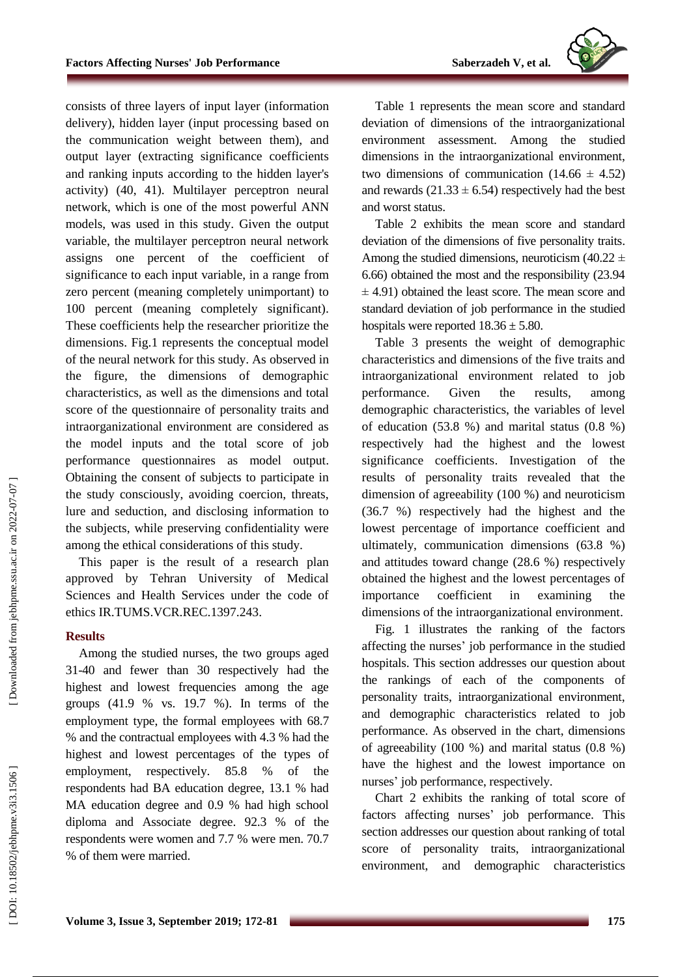

consists of three layers of input layer (information delivery), hidden layer (input processing based on the communication weight between them), and output layer (extracting significance coefficients and ranking inputs according to the hidden layer's activity) (40 , 41). Multilayer perceptron neural network, which is one of the most powerful ANN models, was used in this study. Given the output variable, the multilayer perceptron neural network assigns one percent of the coefficient of significance to each input variable, in a range from zero percent (meaning completely unimportant) to 100 percent (meaning completely significant). These coefficients help the researcher prioritize the dimensions. Fig.1 represents the conceptual model of the neural network for this study. As observed in the figure, the dimensions of demographic characteristics, as well as the dimensions and total score of the questionnaire of personality traits and intraorganizational environment are considered as the model inputs and the total score of job performance questionnaires as model outpu t. Obtaining the consent of subjects to participate in the study consciously, avoiding coercion, threats, lure and seduction, and disclosing information to the subjects, while preserving confidentiality were among the ethical considerations of this study .

This paper is the result of a research plan approved by Tehran University of Medical Sciences and Health Services under the code of ethics IR.TUMS.VCR.REC.1397.243 .

### **Result s**

Among the studied nurses, the two groups aged 31 -40 and fewer than 30 respectively had the highest and lowest frequencies among the age groups (41.9 % vs. 19.7 %). In terms of the employment type, the formal employees with 68.7 % and the contractual employees with 4.3 % had the highest and lowest percentages of the types of employment, respectively.  $85.8\%$  of respondents had BA education degree, 13.1 % had MA education degree and 0.9 % had high school diploma and Associate degree. 92.3 % of the respondents were women and 7.7 % were men. 70.7 % of them were married .

Table 1 represents the mean score and standard deviation of dimensions of the intraorganizational environment assessment. Among the studied dimensions in the intraorganizational environment, two dimensions of communication  $(14.66 \pm 4.52)$ and rewards  $(21.33 \pm 6.54)$  respectively had the best and worst status .

Table 2 exhibits the mean score and standard deviation of the dimensions of five personality traits. Among the studied dimensions, neuroticism  $(40.22 \pm 1)$ 6.66) obtained the most and the responsibility (23.94  $\pm$  4.91) obtained the least score. The mean score and standard deviation of job performance in the studied hospitals were reported  $18.36 \pm 5.80$ .

Table 3 presents the weight of demographic characteristics and dimensions of the five traits and intraorganizational environment related to job performance. Given the results , among demographic characteristics, the variables of level of education (53.8 %) and marital status (0.8 %) respectively had the highest and the lowest significance coefficients. Investigation of the results of personality traits revealed that the dimension of agreeability (100 %) and neuroticism (36.7 %) respectively had the highest and the lowest percentage of importance coefficient and ultimately, communication dimensions (63.8 %) and attitudes toward change (28.6 %) respectively obtained the highest and the lowest percentages of importance coefficient in examining the dimensions of the intraorganizational environment.

Fig . 1 illustrates the ranking of the factors affecting the nurses ' job performance in the studied hospitals. This section addresses our question about the rankings of each of the components of personality traits, intraorganizational environment, and demographic characteristics related to job performance. As observed in the chart, dimensions of agreeability (100 %) and marital status (0.8 %) have the highest and the lowest importance on nurses ' job performance, respectively.

Chart 2 exhibits the ranking of total score of factors affecting nurses ' job performance. This section addresses our question about ranking of total score of personality traits, intraorganizational environment, and demographic characteristics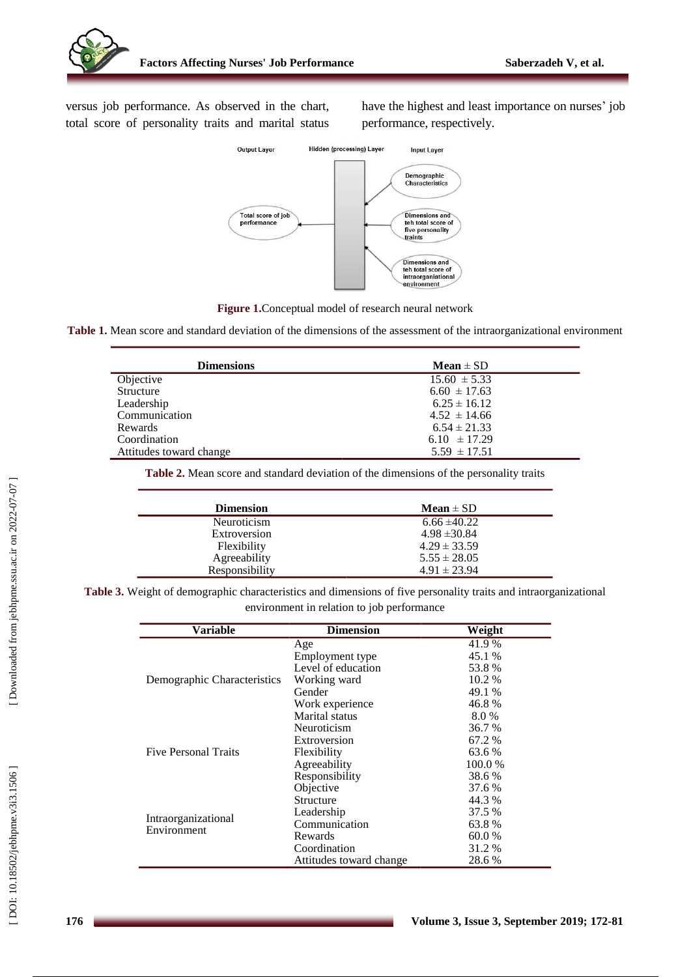versus job performance. As observed in the chart, total score of personality traits and marital status

have the highest and least importance on nurses ' job performance, respectively.



**Figure 1.**Conceptual model of research neural network

**Table 1.** Mean score and standard deviation of the dimensions of the assessment of the intraorganizational environment

| <b>Dimensions</b>       | $Mean \pm SD$    |
|-------------------------|------------------|
| Objective               | $15.60 \pm 5.33$ |
| Structure               | $6.60 \pm 17.63$ |
| Leadership              | $6.25 \pm 16.12$ |
| Communication           | $4.52 \pm 14.66$ |
| Rewards                 | $6.54 \pm 21.33$ |
| Coordination            | $6.10 \pm 17.29$ |
| Attitudes toward change | $5.59 \pm 17.51$ |

**Table 2.** Mean score and standard deviation of the dimensions of the personality traits

| Mean $\pm$ SD    |
|------------------|
| $6.66 \pm 40.22$ |
| $4.98 \pm 30.84$ |
| $4.29 \pm 33.59$ |
| $5.55 \pm 28.05$ |
| $4.91 \pm 23.94$ |
|                  |

**Table 3.** Weight of demographic characteristics and dimensions of five personality traits and intraorganizational environment in relation to job performance

| <b>Variable</b>                    | <b>Dimension</b>        | Weight  |
|------------------------------------|-------------------------|---------|
|                                    | Age                     | 41.9%   |
| Demographic Characteristics        | Employment type         | 45.1 %  |
|                                    | Level of education      | 53.8%   |
|                                    | Working ward            | 10.2 %  |
|                                    | Gender                  | 49.1 %  |
|                                    | Work experience         | 46.8%   |
|                                    | Marital status          | 8.0%    |
| <b>Five Personal Traits</b>        | Neuroticism             | 36.7 %  |
|                                    | Extroversion            | 67.2 %  |
|                                    | Flexibility             | 63.6 %  |
|                                    | Agreeability            | 100.0 % |
|                                    | Responsibility          | 38.6 %  |
| Intraorganizational<br>Environment | Objective               | 37.6 %  |
|                                    | Structure               | 44.3 %  |
|                                    | Leadership              | 37.5 %  |
|                                    | Communication           | 63.8%   |
|                                    | Rewards                 | 60.0 %  |
|                                    | Coordination            | 31.2 %  |
|                                    | Attitudes toward change | 28.6 %  |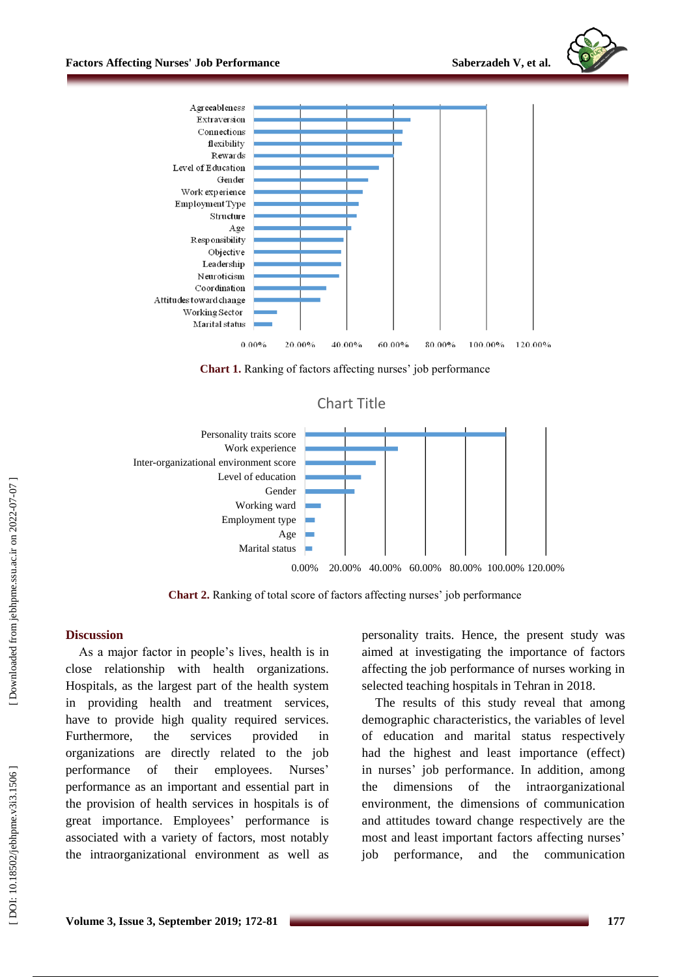



**Chart 1.** Ranking of factors affecting nurses' job performance





**Chart 2.** Ranking of total score of factors affecting nurses' job performance

#### **Discussion**

As a major factor in people's lives, health is in close relationship with health organizations. Hospitals, as the largest part of the health system in providing health and treatment services, have to provide high quality required services. Furthermore, the services provided in organizations are directly related to the job performance of their employees. Nurses' performance as an important and essential part in the provision of health services in hospitals is of great importance. Employees' performance is associated with a variety of factors, most notably the intraorganizational environment as well as personality traits. Hence, the present study was aimed at investigating the importance of factors affecting the job performance of nurses working in selected teaching hospitals in Tehran in 2018 .

The results of this study reveal that among demographic characteristics, the variables of level of education and marital status respectively had the highest and least importance (effect) in nurses ' job performance. In addition, among the dimensions of the intraorganizational environment, the dimensions of communication and attitudes toward change respectively are the most and least important factors affecting nurses ' job performance, and the communication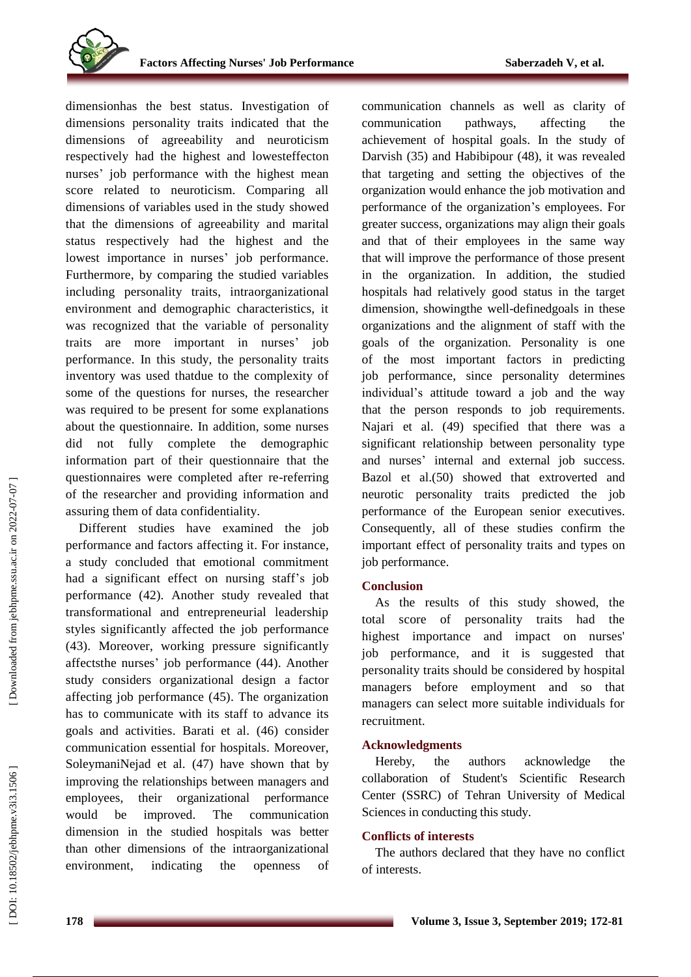dimensionhas the best status. Investigation of dimensions personality traits indicated that the dimension s of agreeability and neuroticism respectively had the highest and lowesteffecton nurses ' job performance with the highest mean score related to neuroticism. Comparing all dimensions of variables used in the study showed that the dimension s of agreeability and marital status respectively had the highest and the lowest importance in nurses ' job performance. Furthermore, by comparing the studied variables including personality traits, intraorganizational environment and demographic characteristics, it was recognized that the variable of personality traits are more important in nurses ' job performance. In this study, the personality traits inventory was used thatdue to the complexity of some of the questions for nurses, the researcher was required to be present for some explanations about the questionnaire. In addition, some nurses did not fully complete the demographic information part of their questionnaire that the questionnaires were completed after re -referring of the researcher and providing information and assuring them of data confidentiality.

Different studies have examined the job performance and factors affecting it. For instance, a study concluded that emotional commitment had a significant effect on nursing staff's job performance (42). Another study revealed that transformational and entrepreneurial leadership styles significantly affected the job performance (43). Moreover, working pressure significantly affectsthe nurses ' job performance (44). Another study considers organizational design a factor affecting job performance (45). The organization has to communicate with its staff to advance its goals and activities. Barati et al. (46) consider communication essential for hospitals. Moreover, Sole ymaniNejad et al. (47) have shown that by improving the relationships between managers and employees, their organizational performance would be improved. The communication dimension in the studied hospitals was better than other dimensions of the intraorganizational environment, indicating the openness of

communication channels as well as clarity of communication pathways, affecting the achievement of hospital goals. In the study of Dar vish (35) and Habibipour (48), it was revealed that targeting and setting the objectives of the organization would enhance the job motivation and performance of the organization 's employees. For greater success, organizations may align their goals and that of their employees in the same way that will improve the performance of those present in the organization. In addition, the studied hospitals had relatively good status in the target dimension, showingthe well -definedgoals in these organizations and the alignment of staff with the goals of the organization. Personality is one of the most important factors in predicting job performance, since personality determines individual's attitude toward a job and the way that the person responds to job requirements. Najari et al. (49) specified that there was a significant relationship between personality type and nurses ' internal and external job success. Bazo l et al.(50) showed that extroverted and neurotic personality traits predicted the job performance of the European senior executives. Consequently, all of these studies confirm the important effect of personality traits and types on job performance.

#### **Conclusion**

As the results of this study showed, the total score of personality traits had the highest importance and impact on nurses' job performance, and it is suggested that personality traits should be considered by hospital managers before employment and so that managers can select more suitable individuals for recruitment.

#### **Acknowledgments**

Hereby, the authors acknowledge the collaboration of Student's Scientific Research Center (SSRC) of Tehran University of Medical Sciences in conducting this study.

## **Conflicts of interest s**

The authors declared that they have no conflict of interests.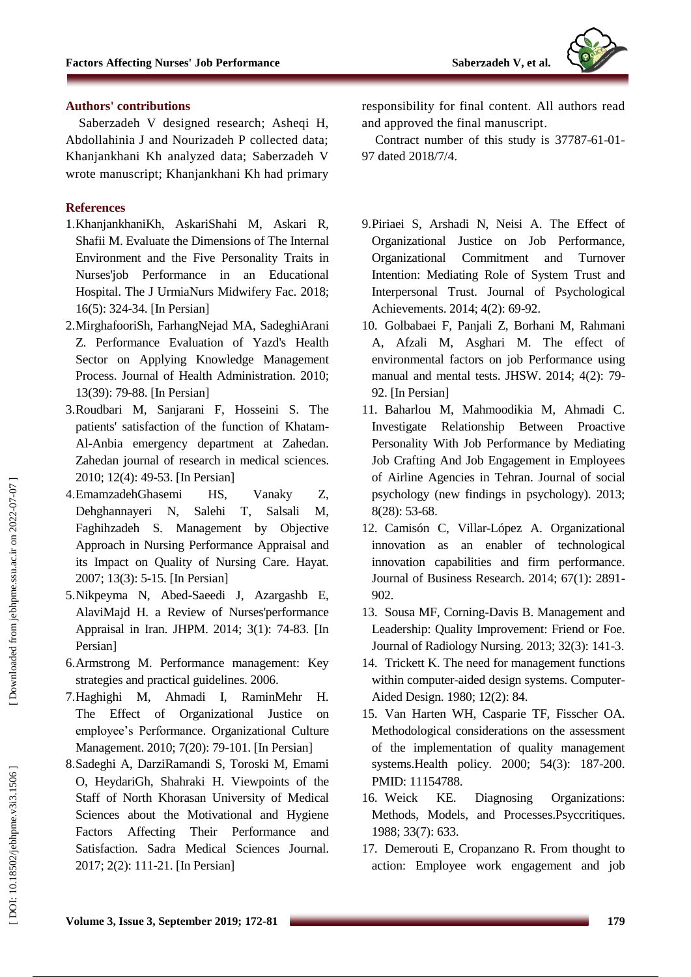#### **Authors' contributions**

Saberzadeh V designed research ; Asheqi H, Abdollahinia J and Nourizadeh P collected data; Khanjankhani Kh analyzed data; Saberzadeh V wrote manuscript ; Khanjankhani Kh had primary

#### **References**

- 1.KhanjankhaniKh, AskariShahi M, Askari R, Shafii M. Evaluate the Dimensions of The Internal Environment and the Five Personality Traits in Nurses'job Performance in an Educational Hospital. The J UrmiaNurs Midwifery Fac. 2018; 16(5): 324 -34. [In Persian]
- 2 .MirghafooriSh, FarhangNejad MA, SadeghiArani Z. Performance Evaluation of Yazd's Health Sector on Applying Knowledge Management Process. Journal of Health Administration. 2010; 13(39): 79 -88. [In Persian]
- 3 .Roudbari M, Sanjarani F, Hosseini S. The patients' satisfaction of the function of Khatam - Al -Anbia emergency department at Zahedan. Zahedan journal of research in medical sciences. 2010; 12(4): 49 -53. [In Persian]
- 4 .EmamzadehGhasemi HS, Vanaky Z, Dehghannayeri N, Salehi T, Salsali M, Faghihzadeh S. Management by Objective Approach in Nursing Performance Appraisal and its Impact on Quality of Nursing Care. Hayat. 2007; 13(3): 5 -15. [In Persian]
- 5 .Nikpeyma N, Abed -Saeedi J, Azargashb E, AlaviMajd H. a Review of Nurses'performance Appraisal in Iran. JHPM . 2014; 3(1): 74 -83. [In Persian]
- 6 .Armstrong M. Performance management: Key strategies and practical guidelines. 2006.
- 7 .Haghighi M, Ahmadi I, RaminMehr H. The Effect of Organizational Justice on employee's Performance. Organizational Culture Management. 2010; 7(20): 79 -101. [In Persian]
- 8 .Sadeghi A, DarziRamandi S, Toroski M, Emami O, HeydariGh, Shahraki H. Viewpoints of the Staff of North Khorasan University of Medical Sciences about the Motivational and Hygiene Factors Affecting Their Performance and Satisfaction. Sadra Medical Sciences Journal. 2017; 2 (2): 111 -21. [In Persian]

responsibility for final content. All authors read and approved the final manuscript.

Contract number of this study is 37787 -61 -01 - 97 dated 2018/7/4.

- 9 .Piriaei S, Arshadi N, Neisi A. The Effect of Organizational Justice on Job Performance, Organizational Commitment and Turnover Intention: Mediating Role of System Trust and Interpersonal Trust. Journal of Psychological Achievements. 2014; 4(2): 69-92.
- 10 . Golbabaei F, Panjali Z, Borhani M, Rahmani A, Afzali M, Asghari M. The effect of environmental factors on job Performance using manual and mental tests. JHSW. 2014; 4(2): 79 - 92. [In Persian]
- 11 . Baharlou M, Mahmoodikia M, Ahmadi C. Investigate Relationship Between Proactive Personality With Job Performance by Mediating Job Crafting And Job Engagement in Employees of Airline Agencies in Tehran. Journal of social psychology (new findings in psychology). 2013; 8(28): 53 -68.
- 12 . Camisón C, Villar -López A. Organizational innovation as an enabler of technological innovation capabilities and firm performance. Journal of Business Research. 2014; 67(1): 2891 - 902.
- 13 . Sousa MF, Corning -Davis B. Management and Leadership: Quality Improvement: Friend or Foe. Journal of Radiology Nursing. 2013; 32(3): 141 -3.
- 14 . Trickett K. The need for management functions within computer -aided design systems. Computer - Aided Design. 1980; 12(2): 84.
- 15 . Van Harten WH, Casparie TF, Fisscher OA. Methodological considerations on the assessment of the implementation of quality management systems.Health policy. 2000; 54(3): 187 -200. PMID: 11154788.
- 16. Weick KE. Diagnosing Organizations: Methods, Models, and Processes.Psyccritiques. 1988; 33(7): 633.
- 17 . Demerouti E, Cropanzano R. From thought to action: Employee work engagement and job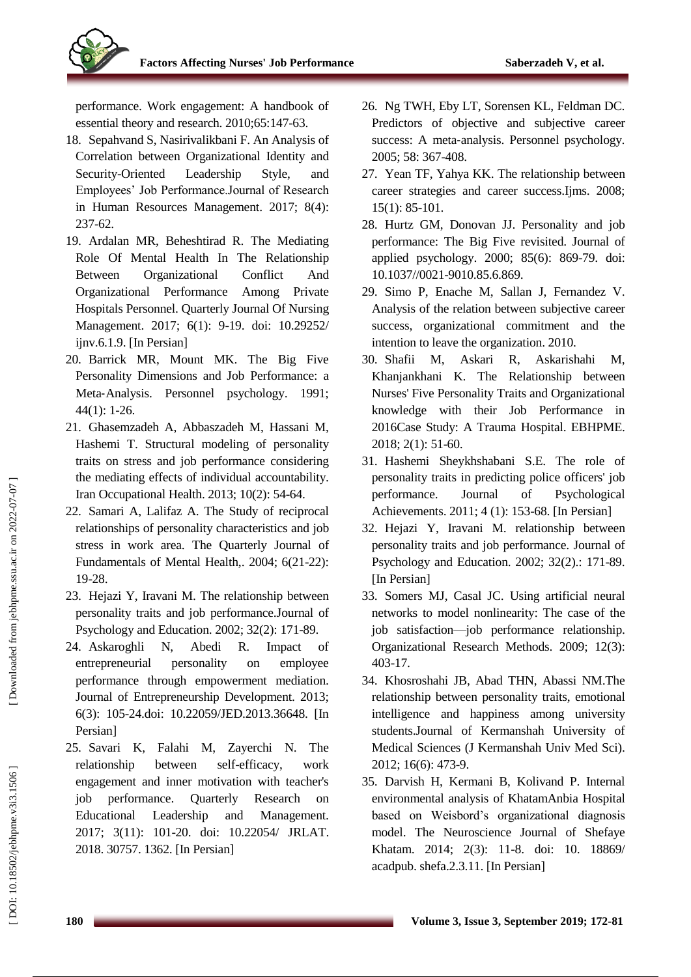performance. Work engagement: A handbook of essential theory and research. 2010;65:147 -63.

- 18 . Sepahvand S, Nasirivalikbani F. An Analysis of Correlation between Organizational Identity and Security-Oriented Leadership Style, and Employees' Job Performance.Journal of Research in Human Resources Management. 2017; 8(4): 237 -62.
- 19 . Ardalan MR, Beheshtirad R. The Mediating Role Of Mental Health In The Relationship Between Organizational Conflict And Organizational Performance Among Private Hospitals Personnel. Quarterly Journal Of Nursing Management. 2017; 6(1): 9 -19. doi: 10.29252/ ijnv.6.1.9. [In Persian]
- 20 . Barrick MR, Mount MK. The Big Five Personality Dimensions and Job Performance: a Meta ‐Analysis. Personnel psychology. 1991; 44(1): 1 -26.
- 21 . Ghasemzadeh A, Abbaszadeh M, Hassani M, Hashemi T. Structural modeling of personality traits on stress and job performance considering the mediating effects of individual accountability. Iran Occupational Health. 2013; 10(2): 54 -64.
- 22 . Samari A, Lalifaz A. The Study of reciprocal relationships of personality characteristics and job stress in work area. The Q uarterly Journal of Fundamentals of Mental Health,. 2004; 6(21 -22): 19 -28.
- 23 . Hejazi Y, Iravani M. The relationship between personality traits and job performance.Journal of Psychology and Education. 2002; 32(2): 171 -89.
- 24 . Askaroghli N, Abedi R. Impact of entrepreneurial personality on employee performance through empowerment mediation. Journal of Entrepreneurship Development. 2013; 6(3): 105 -24.doi: 10.22059/JED.2013.36648. [In Persian]
- 25 . Savari K, Falahi M, Zayerchi N. The relationship between self-efficacy, work engagement and inner motivation with teacher's job performance. Quarterly Research on Educational Leadership and Management. 2017; 3(11): 101 -20. doi: 10.22054/ JRLAT. 2018. 30757. 1362. [In Persian]
- 26 . Ng TWH, Eby LT, Sorensen KL, Feldman DC. Predictors of objective and subjective career success: A meta ‐analysis. Personnel psychology. 2005; 58: 367 -408.
- 27 . Yean TF, Yahya KK. The relationship between career strategies and career success.Ijms. 2008; 15(1): 85 -101.
- 28 . Hurtz GM, Donovan JJ. Personality and job performance: The Big Five revisited. Journal of applied psychology. 2000; 85(6): 869 -79. doi: 10.1037//0021 -9010.85.6.869.
- 29 . Simo P, Enache M, Sallan J, Fernandez V. Analysis of the relation between subjective career success, organizational commitment and the intention to leave the organization. 2010.
- 30. Shafii M, Askari R, Askarishahi M, Khanjankhani K. The Relationship between Nurses' Five Personality Traits and Organizational knowledge with their Job Performance in 2016Case Study: A Trauma Hospital. EBHPME. 2018; 2(1): 51 -60.
- 31 . Hashemi Sheykhshabani S.E. The role of personality traits in predicting police officers' job performance. Journal of Psychological Achievements. 2011; 4 (1): 153 -68. [In Persian]
- 32 . Hejazi Y, Iravani M. relationship between personality traits and job performance. Journal of Psychology and Education. 2002; 32(2).: 171 -89. [In Persian]
- 33 . Somers MJ, Casal JC. Using artificial neural networks to model nonlinearity: The case of the job satisfaction—job performance relationship. Organizational Research Methods. 2009; 12(3): 403 -17.
- 34 . Khosroshahi JB, Abad THN, Abassi NM.The relationship between personality traits, emotional intelligence and happiness among university students.Journal of Kermanshah University of Medical Sciences (J Kermanshah Univ Med Sci). 2012; 16(6): 473 -9.
- 35 . Darvish H, Kermani B, Kolivand P. Internal environmental analysis of KhatamAnbia Hospital based on Weisbord's organizational diagnosis model. The Neuroscience Journal of Shefaye Khatam. 2014; 2(3): 11 -8. doi: 10. 18869/ acadpub. shefa.2.3.11. [In Persian]